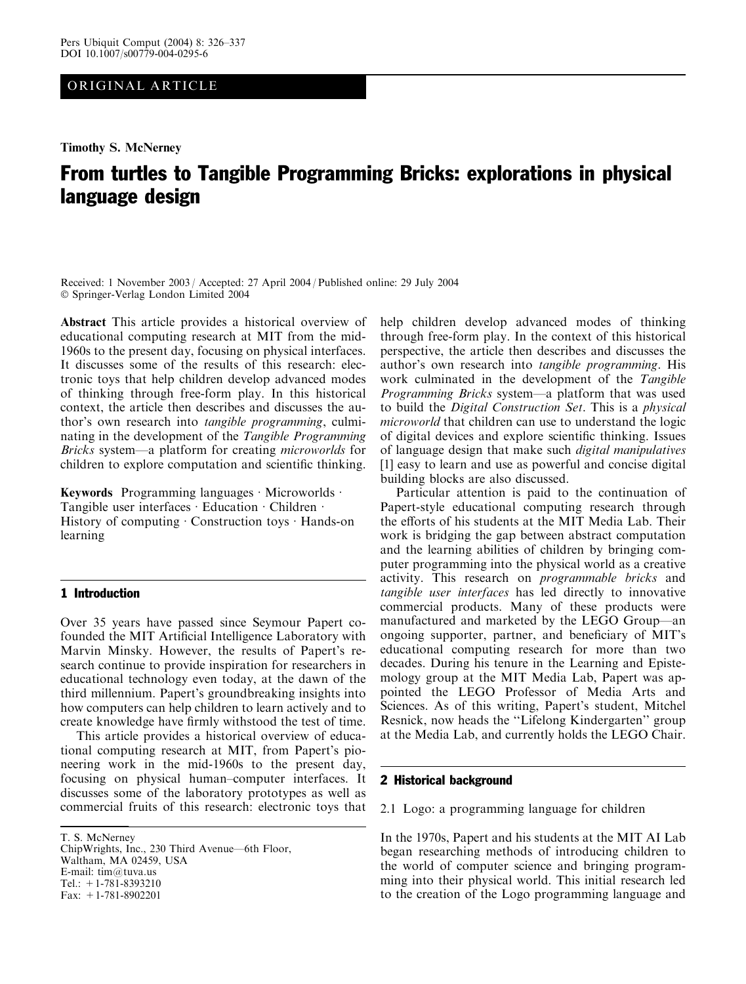# ORIGINAL ARTICLE

Timothy S. McNerney

# From turtles to Tangible Programming Bricks: explorations in physical language design

Received: 1 November 2003 / Accepted: 27 April 2004 / Published online: 29 July 2004 Springer-Verlag London Limited 2004

Abstract This article provides a historical overview of educational computing research at MIT from the mid-1960s to the present day, focusing on physical interfaces. It discusses some of the results of this research: electronic toys that help children develop advanced modes of thinking through free-form play. In this historical context, the article then describes and discusses the author's own research into tangible programming, culminating in the development of the Tangible Programming Bricks system—a platform for creating microworlds for children to explore computation and scientific thinking.

Keywords Programming languages  $\cdot$  Microworlds  $\cdot$ Tangible user interfaces · Education · Children · History of computing  $\cdot$  Construction toys  $\cdot$  Hands-on learning

# 1 Introduction

Over 35 years have passed since Seymour Papert cofounded the MIT Artificial Intelligence Laboratory with Marvin Minsky. However, the results of Papert's research continue to provide inspiration for researchers in educational technology even today, at the dawn of the third millennium. Papert's groundbreaking insights into how computers can help children to learn actively and to create knowledge have firmly withstood the test of time.

This article provides a historical overview of educational computing research at MIT, from Papert's pioneering work in the mid-1960s to the present day, focusing on physical human–computer interfaces. It discusses some of the laboratory prototypes as well as commercial fruits of this research: electronic toys that

T. S. McNerney

ChipWrights, Inc., 230 Third Avenue—6th Floor, Waltham, MA 02459, USA E-mail: tim@tuva.us Tel.:  $+1-781-8393210$ Fax: +1-781-8902201

help children develop advanced modes of thinking through free-form play. In the context of this historical perspective, the article then describes and discusses the author's own research into tangible programming. His work culminated in the development of the Tangible Programming Bricks system—a platform that was used to build the Digital Construction Set. This is a physical microworld that children can use to understand the logic of digital devices and explore scientific thinking. Issues of language design that make such digital manipulatives [1] easy to learn and use as powerful and concise digital building blocks are also discussed.

Particular attention is paid to the continuation of Papert-style educational computing research through the efforts of his students at the MIT Media Lab. Their work is bridging the gap between abstract computation and the learning abilities of children by bringing computer programming into the physical world as a creative activity. This research on programmable bricks and tangible user interfaces has led directly to innovative commercial products. Many of these products were manufactured and marketed by the LEGO Group—an ongoing supporter, partner, and beneficiary of MIT's educational computing research for more than two decades. During his tenure in the Learning and Epistemology group at the MIT Media Lab, Papert was appointed the LEGO Professor of Media Arts and Sciences. As of this writing, Papert's student, Mitchel Resnick, now heads the ''Lifelong Kindergarten'' group at the Media Lab, and currently holds the LEGO Chair.

#### 2 Historical background

## 2.1 Logo: a programming language for children

In the 1970s, Papert and his students at the MIT AI Lab began researching methods of introducing children to the world of computer science and bringing programming into their physical world. This initial research led to the creation of the Logo programming language and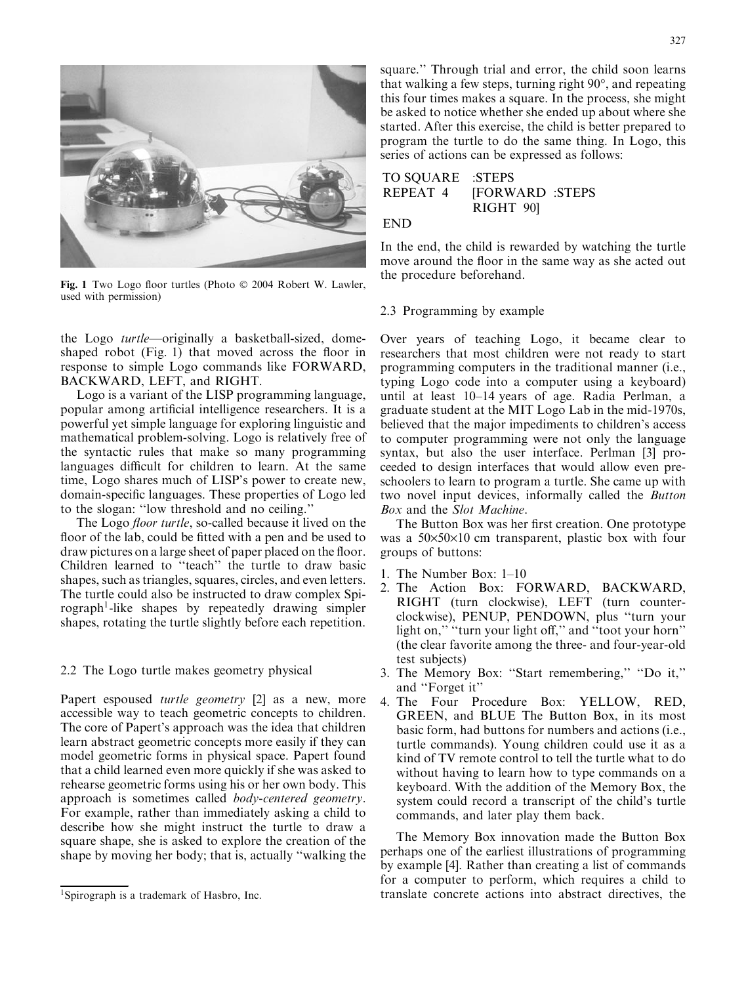

Fig. 1 Two Logo floor turtles (Photo  $\odot$  2004 Robert W. Lawler, used with permission)

the Logo turtle—originally a basketball-sized, domeshaped robot (Fig. 1) that moved across the floor in response to simple Logo commands like FORWARD, BACKWARD, LEFT, and RIGHT.

Logo is a variant of the LISP programming language, popular among artificial intelligence researchers. It is a powerful yet simple language for exploring linguistic and mathematical problem-solving. Logo is relatively free of the syntactic rules that make so many programming languages difficult for children to learn. At the same time, Logo shares much of LISP's power to create new, domain-specific languages. These properties of Logo led to the slogan: ''low threshold and no ceiling.''

The Logo *floor turtle*, so-called because it lived on the floor of the lab, could be fitted with a pen and be used to draw pictures on a large sheet of paper placed on the floor. Children learned to ''teach'' the turtle to draw basic shapes, such as triangles, squares, circles, and even letters. The turtle could also be instructed to draw complex Spirograph<sup>1</sup>-like shapes by repeatedly drawing simpler shapes, rotating the turtle slightly before each repetition.

#### 2.2 The Logo turtle makes geometry physical

Papert espoused turtle geometry [2] as a new, more accessible way to teach geometric concepts to children. The core of Papert's approach was the idea that children learn abstract geometric concepts more easily if they can model geometric forms in physical space. Papert found that a child learned even more quickly if she was asked to rehearse geometric forms using his or her own body. This approach is sometimes called body-centered geometry. For example, rather than immediately asking a child to describe how she might instruct the turtle to draw a square shape, she is asked to explore the creation of the shape by moving her body; that is, actually ''walking the square.'' Through trial and error, the child soon learns that walking a few steps, turning right 90°, and repeating this four times makes a square. In the process, she might be asked to notice whether she ended up about where she started. After this exercise, the child is better prepared to program the turtle to do the same thing. In Logo, this series of actions can be expressed as follows:

# TO SQUARE :STEPS REPEAT 4 [FORWARD :STEPS RIGHT 90]

#### END

In the end, the child is rewarded by watching the turtle move around the floor in the same way as she acted out the procedure beforehand.

### 2.3 Programming by example

Over years of teaching Logo, it became clear to researchers that most children were not ready to start programming computers in the traditional manner (i.e., typing Logo code into a computer using a keyboard) until at least 10–14 years of age. Radia Perlman, a graduate student at the MIT Logo Lab in the mid-1970s, believed that the major impediments to children's access to computer programming were not only the language syntax, but also the user interface. Perlman [3] proceeded to design interfaces that would allow even preschoolers to learn to program a turtle. She came up with two novel input devices, informally called the Button Box and the Slot Machine.

The Button Box was her first creation. One prototype was a 50×50×10 cm transparent, plastic box with four groups of buttons:

- 1. The Number Box: 1–10
- 2. The Action Box: FORWARD, BACKWARD, RIGHT (turn clockwise), LEFT (turn counterclockwise), PENUP, PENDOWN, plus ''turn your light on," "turn your light off," and "toot your horn" (the clear favorite among the three- and four-year-old test subjects)
- 3. The Memory Box: ''Start remembering,'' ''Do it,'' and ''Forget it''
- 4. The Four Procedure Box: YELLOW, RED, GREEN, and BLUE The Button Box, in its most basic form, had buttons for numbers and actions (i.e., turtle commands). Young children could use it as a kind of TV remote control to tell the turtle what to do without having to learn how to type commands on a keyboard. With the addition of the Memory Box, the system could record a transcript of the child's turtle commands, and later play them back.

The Memory Box innovation made the Button Box perhaps one of the earliest illustrations of programming by example [4]. Rather than creating a list of commands for a computer to perform, which requires a child to translate concrete actions into abstract directives, the

<sup>1</sup>Spirograph is a trademark of Hasbro, Inc.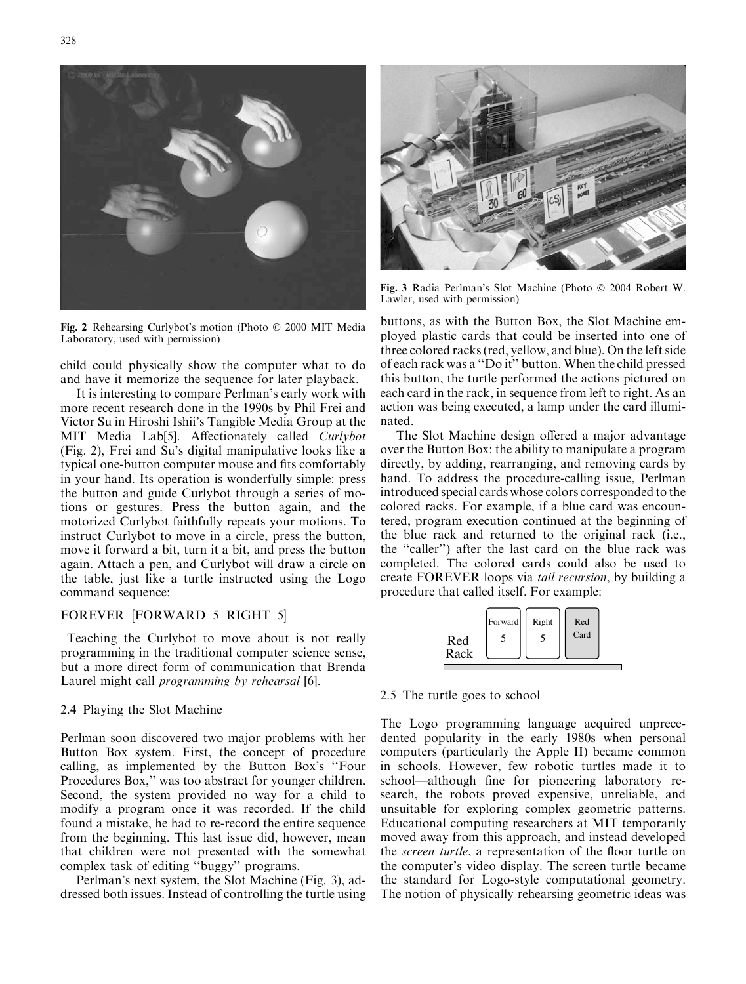

Laboratory, used with permission)

child could physically show the computer what to do and have it memorize the sequence for later playback.

It is interesting to compare Perlman's early work with more recent research done in the 1990s by Phil Frei and Victor Su in Hiroshi Ishii's Tangible Media Group at the MIT Media Lab[5]. Affectionately called Curlybot (Fig. 2), Frei and Su's digital manipulative looks like a typical one-button computer mouse and fits comfortably in your hand. Its operation is wonderfully simple: press the button and guide Curlybot through a series of motions or gestures. Press the button again, and the motorized Curlybot faithfully repeats your motions. To instruct Curlybot to move in a circle, press the button, move it forward a bit, turn it a bit, and press the button again. Attach a pen, and Curlybot will draw a circle on the table, just like a turtle instructed using the Logo command sequence:

#### FOREVER [FORWARD 5 RIGHT 5]

Teaching the Curlybot to move about is not really programming in the traditional computer science sense, but a more direct form of communication that Brenda Laurel might call programming by rehearsal [6].

#### 2.4 Playing the Slot Machine

Perlman soon discovered two major problems with her Button Box system. First, the concept of procedure calling, as implemented by the Button Box's ''Four Procedures Box,'' was too abstract for younger children. Second, the system provided no way for a child to modify a program once it was recorded. If the child found a mistake, he had to re-record the entire sequence from the beginning. This last issue did, however, mean that children were not presented with the somewhat complex task of editing ''buggy'' programs.

Perlman's next system, the Slot Machine (Fig. 3), addressed both issues. Instead of controlling the turtle using



Fig. 3 Radia Perlman's Slot Machine (Photo © 2004 Robert W. Lawler, used with permission)

buttons, as with the Button Box, the Slot Machine employed plastic cards that could be inserted into one of three colored racks (red, yellow, and blue). On the left side of each rack was a ''Do it'' button. When the child pressed this button, the turtle performed the actions pictured on each card in the rack, in sequence from left to right. As an action was being executed, a lamp under the card illuminated.

The Slot Machine design offered a major advantage over the Button Box: the ability to manipulate a program directly, by adding, rearranging, and removing cards by hand. To address the procedure-calling issue, Perlman introduced special cards whose colors corresponded to the colored racks. For example, if a blue card was encountered, program execution continued at the beginning of the blue rack and returned to the original rack (i.e., the ''caller'') after the last card on the blue rack was completed. The colored cards could also be used to create FOREVER loops via tail recursion, by building a procedure that called itself. For example:

|      | Forward | Right | Red  |
|------|---------|-------|------|
| Red  |         |       | Card |
| Rack |         |       |      |

۰

#### 2.5 The turtle goes to school

The Logo programming language acquired unprecedented popularity in the early 1980s when personal computers (particularly the Apple II) became common in schools. However, few robotic turtles made it to school—although fine for pioneering laboratory research, the robots proved expensive, unreliable, and unsuitable for exploring complex geometric patterns. Educational computing researchers at MIT temporarily moved away from this approach, and instead developed the screen turtle, a representation of the floor turtle on the computer's video display. The screen turtle became the standard for Logo-style computational geometry. The notion of physically rehearsing geometric ideas was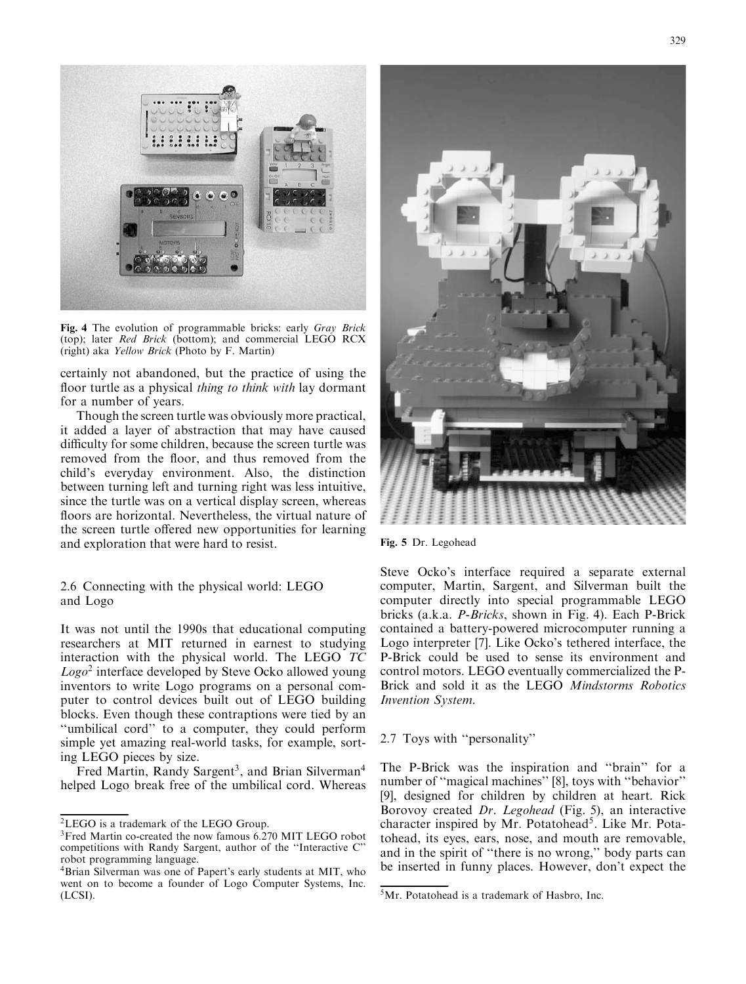

Fig. 4 The evolution of programmable bricks: early Gray Brick (top); later Red Brick (bottom); and commercial LEGO RCX (right) aka Yellow Brick (Photo by F. Martin)

certainly not abandoned, but the practice of using the floor turtle as a physical thing to think with lay dormant for a number of years.

Though the screen turtle was obviously more practical, it added a layer of abstraction that may have caused difficulty for some children, because the screen turtle was removed from the floor, and thus removed from the child's everyday environment. Also, the distinction between turning left and turning right was less intuitive, since the turtle was on a vertical display screen, whereas floors are horizontal. Nevertheless, the virtual nature of the screen turtle offered new opportunities for learning and exploration that were hard to resist.

# 2.6 Connecting with the physical world: LEGO and Logo

It was not until the 1990s that educational computing researchers at MIT returned in earnest to studying interaction with the physical world. The LEGO TC  $Logo<sup>2</sup>$  interface developed by Steve Ocko allowed young inventors to write Logo programs on a personal computer to control devices built out of LEGO building blocks. Even though these contraptions were tied by an ''umbilical cord'' to a computer, they could perform simple yet amazing real-world tasks, for example, sorting LEGO pieces by size.

Fred Martin, Randy Sargent<sup>3</sup>, and Brian Silverman<sup>4</sup> helped Logo break free of the umbilical cord. Whereas



Fig. 5 Dr. Legohead

Steve Ocko's interface required a separate external computer, Martin, Sargent, and Silverman built the computer directly into special programmable LEGO bricks (a.k.a. P-Bricks, shown in Fig. 4). Each P-Brick contained a battery-powered microcomputer running a Logo interpreter [7]. Like Ocko's tethered interface, the P-Brick could be used to sense its environment and control motors. LEGO eventually commercialized the P-Brick and sold it as the LEGO Mindstorms Robotics Invention System.

# 2.7 Toys with ''personality''

The P-Brick was the inspiration and ''brain'' for a number of "magical machines" [8], toys with "behavior" [9], designed for children by children at heart. Rick Borovoy created Dr. Legohead (Fig. 5), an interactive character inspired by Mr. Potatohead<sup>5</sup>. Like Mr. Potatohead, its eyes, ears, nose, and mouth are removable, and in the spirit of ''there is no wrong,'' body parts can be inserted in funny places. However, don't expect the

<sup>2</sup>LEGO is a trademark of the LEGO Group.

<sup>3</sup>Fred Martin co-created the now famous 6.270 MIT LEGO robot competitions with Randy Sargent, author of the ''Interactive C'' robot programming language.

<sup>4</sup>Brian Silverman was one of Papert's early students at MIT, who went on to become a founder of Logo Computer Systems, Inc. (LCSI).

<sup>5</sup>Mr. Potatohead is a trademark of Hasbro, Inc.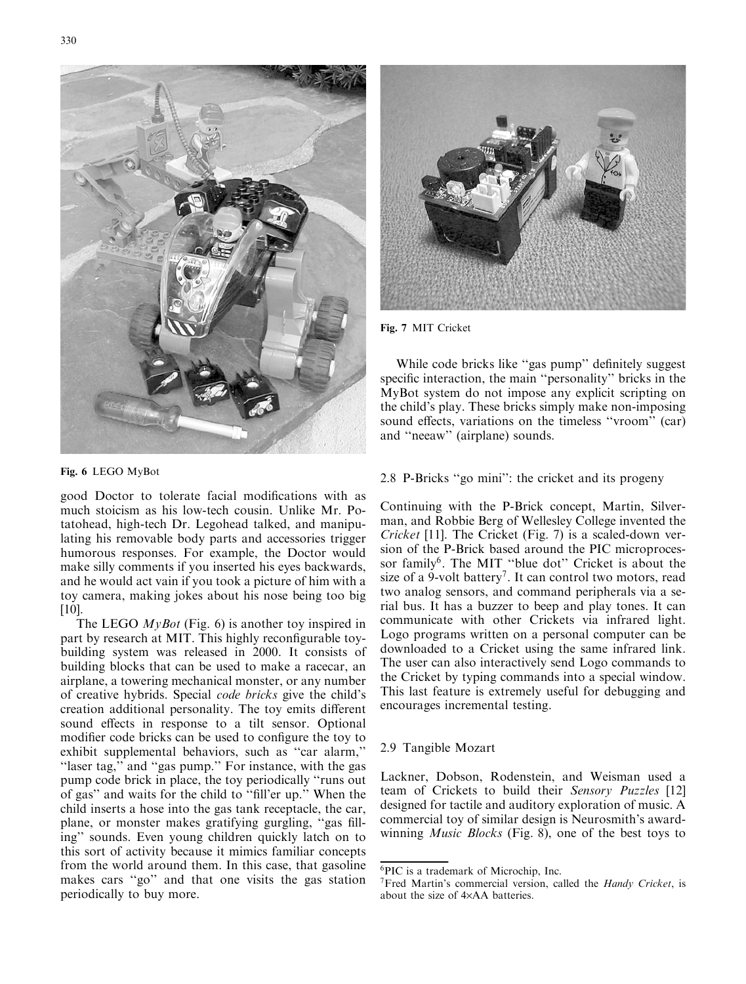

Fig. 6 LEGO MyBot

good Doctor to tolerate facial modifications with as much stoicism as his low-tech cousin. Unlike Mr. Potatohead, high-tech Dr. Legohead talked, and manipulating his removable body parts and accessories trigger humorous responses. For example, the Doctor would make silly comments if you inserted his eyes backwards, and he would act vain if you took a picture of him with a toy camera, making jokes about his nose being too big [10].

The LEGO  $MyBot$  (Fig. 6) is another toy inspired in part by research at MIT. This highly reconfigurable toybuilding system was released in 2000. It consists of building blocks that can be used to make a racecar, an airplane, a towering mechanical monster, or any number of creative hybrids. Special code bricks give the child's creation additional personality. The toy emits different sound effects in response to a tilt sensor. Optional modifier code bricks can be used to configure the toy to exhibit supplemental behaviors, such as ''car alarm,'' "laser tag," and "gas pump." For instance, with the gas pump code brick in place, the toy periodically ''runs out of gas'' and waits for the child to ''fill'er up.'' When the child inserts a hose into the gas tank receptacle, the car, plane, or monster makes gratifying gurgling, ''gas filling'' sounds. Even young children quickly latch on to this sort of activity because it mimics familiar concepts from the world around them. In this case, that gasoline makes cars ''go'' and that one visits the gas station periodically to buy more.



Fig. 7 MIT Cricket

While code bricks like "gas pump" definitely suggest specific interaction, the main ''personality'' bricks in the MyBot system do not impose any explicit scripting on the child's play. These bricks simply make non-imposing sound effects, variations on the timeless ''vroom'' (car) and ''neeaw'' (airplane) sounds.

# 2.8 P-Bricks ''go mini'': the cricket and its progeny

Continuing with the P-Brick concept, Martin, Silverman, and Robbie Berg of Wellesley College invented the Cricket [11]. The Cricket (Fig. 7) is a scaled-down version of the P-Brick based around the PIC microprocessor family<sup>6</sup>. The MIT "blue dot" Cricket is about the size of a 9-volt battery<sup>7</sup>. It can control two motors, read two analog sensors, and command peripherals via a serial bus. It has a buzzer to beep and play tones. It can communicate with other Crickets via infrared light. Logo programs written on a personal computer can be downloaded to a Cricket using the same infrared link. The user can also interactively send Logo commands to the Cricket by typing commands into a special window. This last feature is extremely useful for debugging and encourages incremental testing.

# 2.9 Tangible Mozart

Lackner, Dobson, Rodenstein, and Weisman used a team of Crickets to build their Sensory Puzzles [12] designed for tactile and auditory exploration of music. A commercial toy of similar design is Neurosmith's awardwinning *Music Blocks* (Fig. 8), one of the best toys to

<sup>6</sup>PIC is a trademark of Microchip, Inc.

<sup>&</sup>lt;sup>7</sup>Fred Martin's commercial version, called the *Handy Cricket*, is about the size of  $4\times$ AA batteries.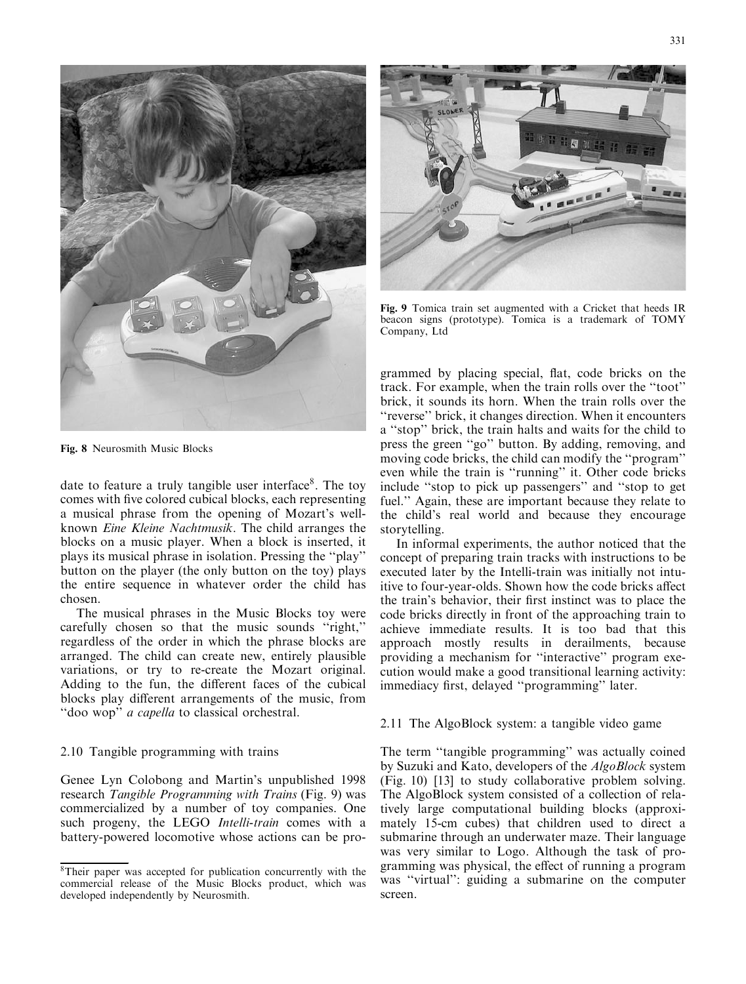

Fig. 8 Neurosmith Music Blocks

date to feature a truly tangible user interface<sup>8</sup>. The toy comes with five colored cubical blocks, each representing a musical phrase from the opening of Mozart's wellknown Eine Kleine Nachtmusik. The child arranges the blocks on a music player. When a block is inserted, it plays its musical phrase in isolation. Pressing the ''play'' button on the player (the only button on the toy) plays the entire sequence in whatever order the child has chosen.

The musical phrases in the Music Blocks toy were carefully chosen so that the music sounds ''right,'' regardless of the order in which the phrase blocks are arranged. The child can create new, entirely plausible variations, or try to re-create the Mozart original. Adding to the fun, the different faces of the cubical blocks play different arrangements of the music, from "doo wop" *a capella* to classical orchestral.

# 2.10 Tangible programming with trains

Genee Lyn Colobong and Martin's unpublished 1998 research Tangible Programming with Trains (Fig. 9) was commercialized by a number of toy companies. One such progeny, the LEGO *Intelli-train* comes with a battery-powered locomotive whose actions can be pro-



Fig. 9 Tomica train set augmented with a Cricket that heeds IR beacon signs (prototype). Tomica is a trademark of TOMY Company, Ltd

grammed by placing special, flat, code bricks on the track. For example, when the train rolls over the ''toot'' brick, it sounds its horn. When the train rolls over the ''reverse'' brick, it changes direction. When it encounters a ''stop'' brick, the train halts and waits for the child to press the green ''go'' button. By adding, removing, and moving code bricks, the child can modify the ''program'' even while the train is ''running'' it. Other code bricks include ''stop to pick up passengers'' and ''stop to get fuel.'' Again, these are important because they relate to the child's real world and because they encourage storytelling.

In informal experiments, the author noticed that the concept of preparing train tracks with instructions to be executed later by the Intelli-train was initially not intuitive to four-year-olds. Shown how the code bricks affect the train's behavior, their first instinct was to place the code bricks directly in front of the approaching train to achieve immediate results. It is too bad that this approach mostly results in derailments, because providing a mechanism for ''interactive'' program execution would make a good transitional learning activity: immediacy first, delayed ''programming'' later.

#### 2.11 The AlgoBlock system: a tangible video game

The term ''tangible programming'' was actually coined by Suzuki and Kato, developers of the *AlgoBlock* system (Fig. 10) [13] to study collaborative problem solving. The AlgoBlock system consisted of a collection of relatively large computational building blocks (approximately 15-cm cubes) that children used to direct a submarine through an underwater maze. Their language was very similar to Logo. Although the task of programming was physical, the effect of running a program was ''virtual'': guiding a submarine on the computer screen.

<sup>8</sup>Their paper was accepted for publication concurrently with the commercial release of the Music Blocks product, which was developed independently by Neurosmith.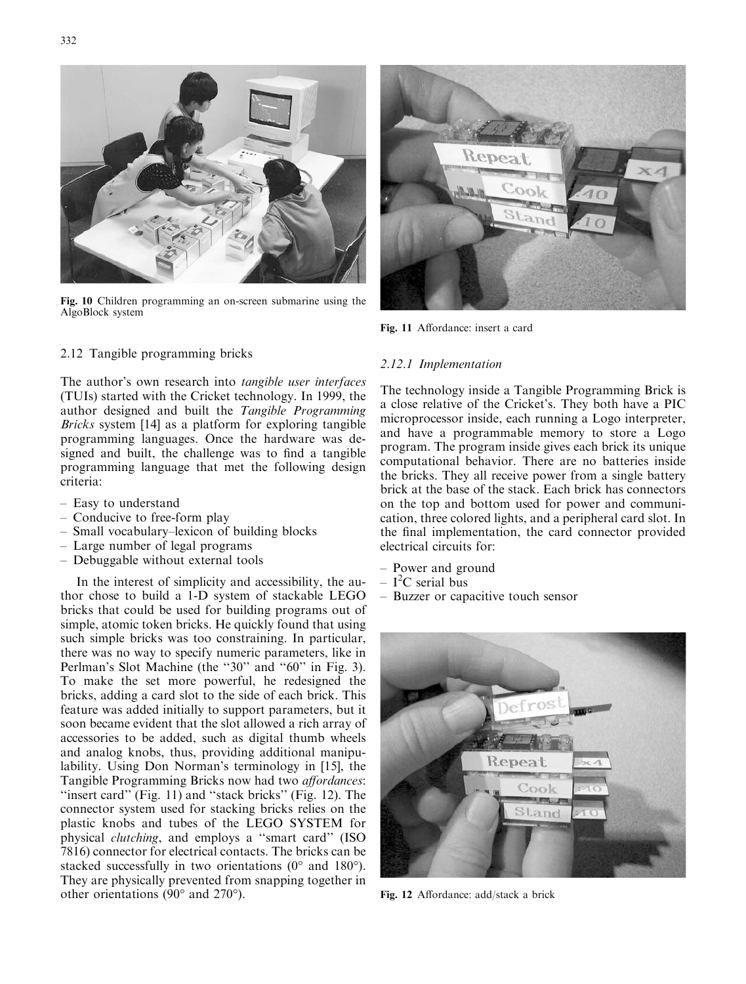

Fig. 10 Children programming an on-screen submarine using the AlgoBlock system

#### 2.12 Tangible programming bricks

The author's own research into *tangible user interfaces* (TUIs) started with the Cricket technology. In 1999, the author designed and built the Tangible Programming Bricks system [14] as a platform for exploring tangible programming languages. Once the hardware was designed and built, the challenge was to find a tangible programming language that met the following design criteria:

- Easy to understand
- Conducive to free-form play
- Small vocabulary–lexicon of building blocks
- Large number of legal programs
- Debuggable without external tools

In the interest of simplicity and accessibility, the author chose to build a 1-D system of stackable LEGO bricks that could be used for building programs out of simple, atomic token bricks. He quickly found that using such simple bricks was too constraining. In particular, there was no way to specify numeric parameters, like in Perlman's Slot Machine (the "30" and "60" in Fig. 3). To make the set more powerful, he redesigned the bricks, adding a card slot to the side of each brick. This feature was added initially to support parameters, but it soon became evident that the slot allowed a rich array of accessories to be added, such as digital thumb wheels and analog knobs, thus, providing additional manipulability. Using Don Norman's terminology in [15], the Tangible Programming Bricks now had two affordances: "insert card" (Fig. 11) and "stack bricks" (Fig. 12). The connector system used for stacking bricks relies on the plastic knobs and tubes of the LEGO SYSTEM for physical clutching, and employs a ''smart card'' (ISO 7816) connector for electrical contacts. The bricks can be stacked successfully in two orientations ( $0^{\circ}$  and  $180^{\circ}$ ). They are physically prevented from snapping together in other orientations (90 $^{\circ}$  and 270 $^{\circ}$ ).



Fig. 11 Affordance: insert a card

#### 2.12.1 Implementation

The technology inside a Tangible Programming Brick is a close relative of the Cricket's. They both have a PIC microprocessor inside, each running a Logo interpreter, and have a programmable memory to store a Logo program. The program inside gives each brick its unique computational behavior. There are no batteries inside the bricks. They all receive power from a single battery brick at the base of the stack. Each brick has connectors on the top and bottom used for power and communication, three colored lights, and a peripheral card slot. In the final implementation, the card connector provided electrical circuits for:

- Power and ground
- $-$  I<sup>2</sup>C serial bus
- Buzzer or capacitive touch sensor



Fig. 12 Affordance: add/stack a brick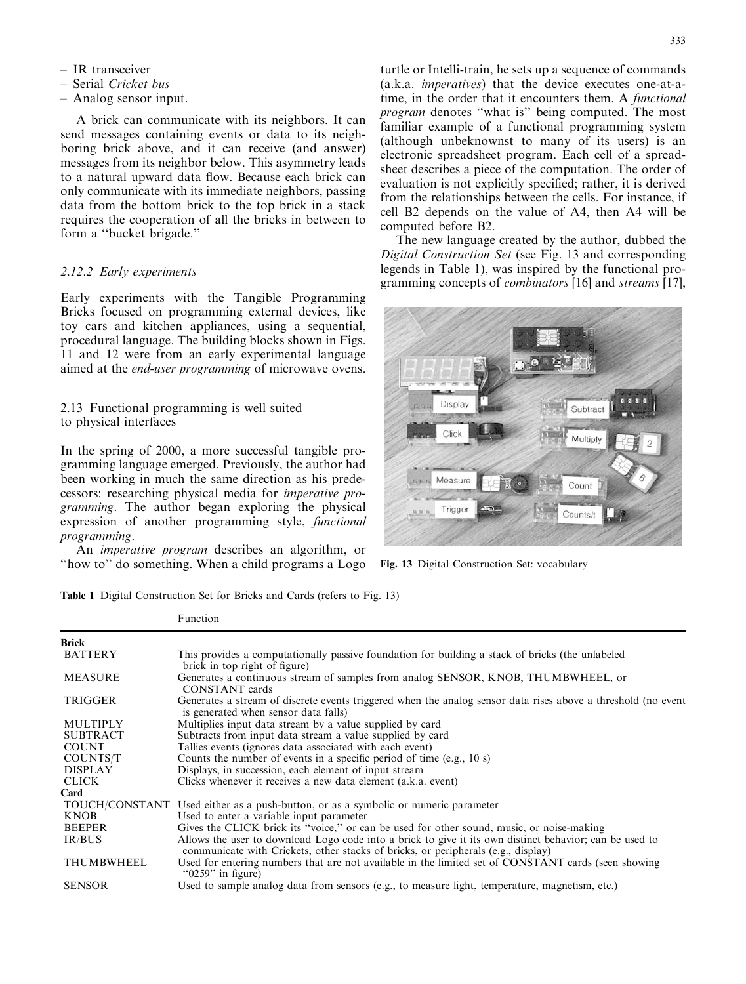– IR transceiver

- Serial Cricket bus
- Analog sensor input.

A brick can communicate with its neighbors. It can send messages containing events or data to its neighboring brick above, and it can receive (and answer) messages from its neighbor below. This asymmetry leads to a natural upward data flow. Because each brick can only communicate with its immediate neighbors, passing data from the bottom brick to the top brick in a stack requires the cooperation of all the bricks in between to form a ''bucket brigade.''

#### 2.12.2 Early experiments

Early experiments with the Tangible Programming Bricks focused on programming external devices, like toy cars and kitchen appliances, using a sequential, procedural language. The building blocks shown in Figs. 11 and 12 were from an early experimental language aimed at the end-user programming of microwave ovens.

# 2.13 Functional programming is well suited to physical interfaces

In the spring of 2000, a more successful tangible programming language emerged. Previously, the author had been working in much the same direction as his predecessors: researching physical media for imperative programming. The author began exploring the physical expression of another programming style, functional programming.

An imperative program describes an algorithm, or ''how to'' do something. When a child programs a Logo

turtle or Intelli-train, he sets up a sequence of commands (a.k.a. imperatives) that the device executes one-at-atime, in the order that it encounters them. A *functional* program denotes "what is" being computed. The most familiar example of a functional programming system (although unbeknownst to many of its users) is an electronic spreadsheet program. Each cell of a spreadsheet describes a piece of the computation. The order of evaluation is not explicitly specified; rather, it is derived from the relationships between the cells. For instance, if cell B2 depends on the value of A4, then A4 will be computed before B2.

The new language created by the author, dubbed the Digital Construction Set (see Fig. 13 and corresponding legends in Table 1), was inspired by the functional programming concepts of combinators [16] and streams [17],



Fig. 13 Digital Construction Set: vocabulary

Table 1 Digital Construction Set for Bricks and Cards (refers to Fig. 13)

|                   | Function                                                                                                                                                                                     |
|-------------------|----------------------------------------------------------------------------------------------------------------------------------------------------------------------------------------------|
| <b>Brick</b>      |                                                                                                                                                                                              |
| <b>BATTERY</b>    | This provides a computationally passive foundation for building a stack of bricks (the unlabeled<br>brick in top right of figure)                                                            |
| <b>MEASURE</b>    | Generates a continuous stream of samples from analog SENSOR, KNOB, THUMBWHEEL, or<br>CONSTANT cards                                                                                          |
| <b>TRIGGER</b>    | Generates a stream of discrete events triggered when the analog sensor data rises above a threshold (no event<br>is generated when sensor data falls)                                        |
| <b>MULTIPLY</b>   | Multiplies input data stream by a value supplied by card                                                                                                                                     |
| <b>SUBTRACT</b>   | Subtracts from input data stream a value supplied by card                                                                                                                                    |
| <b>COUNT</b>      | Tallies events (ignores data associated with each event)                                                                                                                                     |
| COUNTS/T          | Counts the number of events in a specific period of time (e.g., $10 s$ )                                                                                                                     |
| <b>DISPLAY</b>    | Displays, in succession, each element of input stream                                                                                                                                        |
| <b>CLICK</b>      | Clicks whenever it receives a new data element (a.k.a. event)                                                                                                                                |
| Card              |                                                                                                                                                                                              |
|                   | TOUCH/CONSTANT Used either as a push-button, or as a symbolic or numeric parameter                                                                                                           |
| <b>KNOB</b>       | Used to enter a variable input parameter                                                                                                                                                     |
| <b>BEEPER</b>     | Gives the CLICK brick its "voice," or can be used for other sound, music, or noise-making                                                                                                    |
| IR/BUS            | Allows the user to download Logo code into a brick to give it its own distinct behavior; can be used to<br>communicate with Crickets, other stacks of bricks, or peripherals (e.g., display) |
| <b>THUMBWHEEL</b> | Used for entering numbers that are not available in the limited set of CONSTANT cards (seen showing<br>" $0259$ " in figure)                                                                 |
| <b>SENSOR</b>     | Used to sample analog data from sensors (e.g., to measure light, temperature, magnetism, etc.)                                                                                               |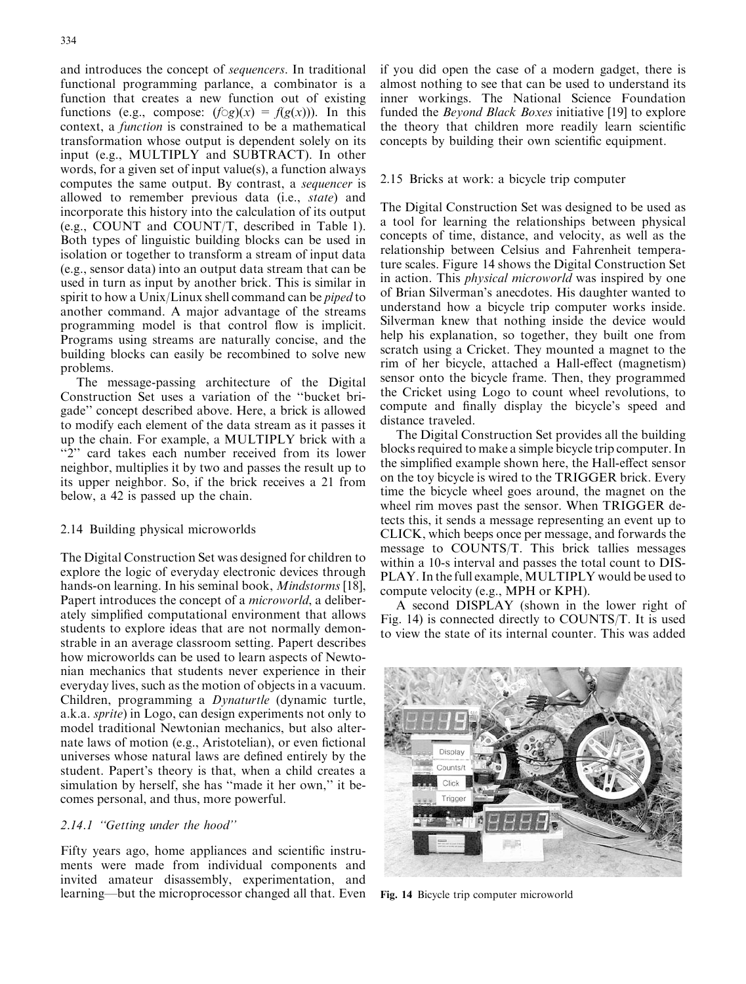and introduces the concept of sequencers. In traditional functional programming parlance, a combinator is a function that creates a new function out of existing functions (e.g., compose:  $(f \circ g)(x) = f(g(x))$ ). In this context, a function is constrained to be a mathematical transformation whose output is dependent solely on its input (e.g., MULTIPLY and SUBTRACT). In other words, for a given set of input value(s), a function always computes the same output. By contrast, a sequencer is allowed to remember previous data (i.e., state) and incorporate this history into the calculation of its output (e.g., COUNT and COUNT/T, described in Table 1). Both types of linguistic building blocks can be used in isolation or together to transform a stream of input data (e.g., sensor data) into an output data stream that can be used in turn as input by another brick. This is similar in spirit to how a Unix/Linux shell command can be piped to another command. A major advantage of the streams programming model is that control flow is implicit. Programs using streams are naturally concise, and the building blocks can easily be recombined to solve new problems.

The message-passing architecture of the Digital Construction Set uses a variation of the ''bucket brigade'' concept described above. Here, a brick is allowed to modify each element of the data stream as it passes it up the chain. For example, a MULTIPLY brick with a "2" card takes each number received from its lower neighbor, multiplies it by two and passes the result up to its upper neighbor. So, if the brick receives a 21 from below, a 42 is passed up the chain.

# 2.14 Building physical microworlds

The Digital Construction Set was designed for children to explore the logic of everyday electronic devices through hands-on learning. In his seminal book, *Mindstorms* [18], Papert introduces the concept of a *microworld*, a deliberately simplified computational environment that allows students to explore ideas that are not normally demonstrable in an average classroom setting. Papert describes how microworlds can be used to learn aspects of Newtonian mechanics that students never experience in their everyday lives, such as the motion of objects in a vacuum. Children, programming a Dynaturtle (dynamic turtle, a.k.a. sprite) in Logo, can design experiments not only to model traditional Newtonian mechanics, but also alternate laws of motion (e.g., Aristotelian), or even fictional universes whose natural laws are defined entirely by the student. Papert's theory is that, when a child creates a simulation by herself, she has "made it her own," it becomes personal, and thus, more powerful.

# 2.14.1 ''Getting under the hood''

Fifty years ago, home appliances and scientific instruments were made from individual components and invited amateur disassembly, experimentation, and learning—but the microprocessor changed all that. Even if you did open the case of a modern gadget, there is almost nothing to see that can be used to understand its inner workings. The National Science Foundation funded the *Beyond Black Boxes* initiative [19] to explore the theory that children more readily learn scientific concepts by building their own scientific equipment.

#### 2.15 Bricks at work: a bicycle trip computer

The Digital Construction Set was designed to be used as a tool for learning the relationships between physical concepts of time, distance, and velocity, as well as the relationship between Celsius and Fahrenheit temperature scales. Figure 14 shows the Digital Construction Set in action. This *physical microworld* was inspired by one of Brian Silverman's anecdotes. His daughter wanted to understand how a bicycle trip computer works inside. Silverman knew that nothing inside the device would help his explanation, so together, they built one from scratch using a Cricket. They mounted a magnet to the rim of her bicycle, attached a Hall-effect (magnetism) sensor onto the bicycle frame. Then, they programmed the Cricket using Logo to count wheel revolutions, to compute and finally display the bicycle's speed and distance traveled.

The Digital Construction Set provides all the building blocks required to make a simple bicycle trip computer. In the simplified example shown here, the Hall-effect sensor on the toy bicycle is wired to the TRIGGER brick. Every time the bicycle wheel goes around, the magnet on the wheel rim moves past the sensor. When TRIGGER detects this, it sends a message representing an event up to CLICK, which beeps once per message, and forwards the message to COUNTS/T. This brick tallies messages within a 10-s interval and passes the total count to DIS-PLAY. In the full example, MULTIPLY would be used to compute velocity (e.g., MPH or KPH).

A second DISPLAY (shown in the lower right of Fig. 14) is connected directly to COUNTS/T. It is used to view the state of its internal counter. This was added



Fig. 14 Bicycle trip computer microworld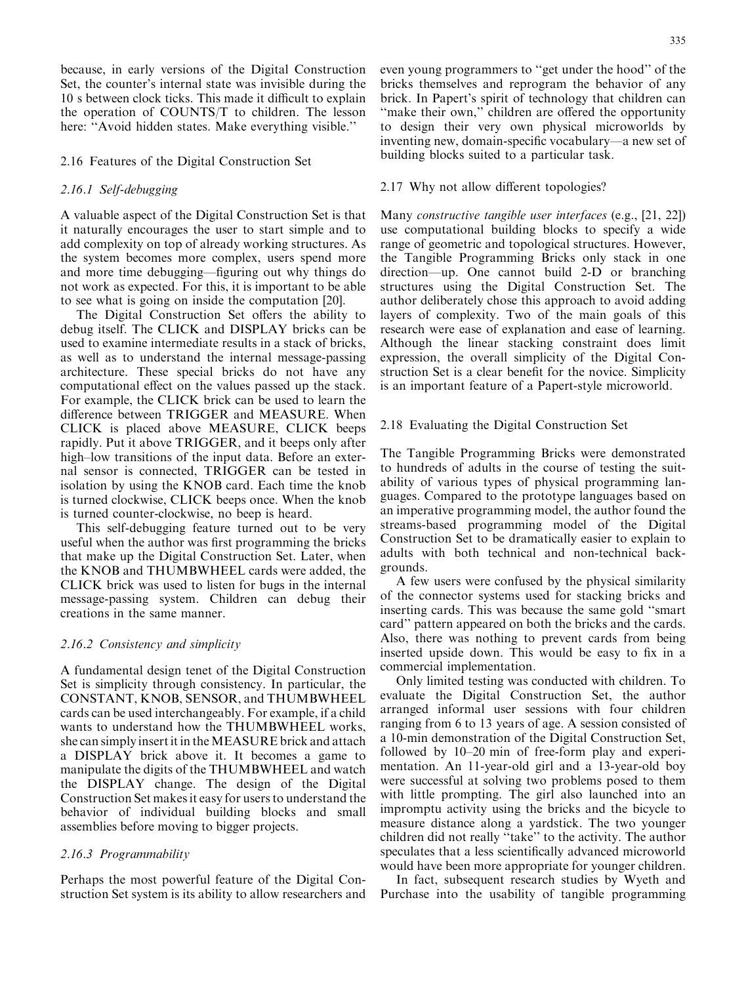because, in early versions of the Digital Construction Set, the counter's internal state was invisible during the 10 s between clock ticks. This made it difficult to explain the operation of COUNTS/T to children. The lesson here: "Avoid hidden states. Make everything visible."

2.16 Features of the Digital Construction Set

#### 2.16.1 Self-debugging

A valuable aspect of the Digital Construction Set is that it naturally encourages the user to start simple and to add complexity on top of already working structures. As the system becomes more complex, users spend more and more time debugging—figuring out why things do not work as expected. For this, it is important to be able to see what is going on inside the computation [20].

The Digital Construction Set offers the ability to debug itself. The CLICK and DISPLAY bricks can be used to examine intermediate results in a stack of bricks, as well as to understand the internal message-passing architecture. These special bricks do not have any computational effect on the values passed up the stack. For example, the CLICK brick can be used to learn the difference between TRIGGER and MEASURE. When CLICK is placed above MEASURE, CLICK beeps rapidly. Put it above TRIGGER, and it beeps only after high–low transitions of the input data. Before an external sensor is connected, TRIGGER can be tested in isolation by using the KNOB card. Each time the knob is turned clockwise, CLICK beeps once. When the knob is turned counter-clockwise, no beep is heard.

This self-debugging feature turned out to be very useful when the author was first programming the bricks that make up the Digital Construction Set. Later, when the KNOB and THUMBWHEEL cards were added, the CLICK brick was used to listen for bugs in the internal message-passing system. Children can debug their creations in the same manner.

# 2.16.2 Consistency and simplicity

A fundamental design tenet of the Digital Construction Set is simplicity through consistency. In particular, the CONSTANT, KNOB, SENSOR, and THUMBWHEEL cards can be used interchangeably. For example, if a child wants to understand how the THUMBWHEEL works, she can simply insert it in theMEASURE brick and attach a DISPLAY brick above it. It becomes a game to manipulate the digits of the THUMBWHEEL and watch the DISPLAY change. The design of the Digital Construction Set makes it easy for users to understand the behavior of individual building blocks and small assemblies before moving to bigger projects.

# 2.16.3 Programmability

Perhaps the most powerful feature of the Digital Construction Set system is its ability to allow researchers and even young programmers to ''get under the hood'' of the bricks themselves and reprogram the behavior of any brick. In Papert's spirit of technology that children can "make their own," children are offered the opportunity to design their very own physical microworlds by inventing new, domain-specific vocabulary—a new set of building blocks suited to a particular task.

## 2.17 Why not allow different topologies?

Many constructive tangible user interfaces (e.g., [21, 22]) use computational building blocks to specify a wide range of geometric and topological structures. However, the Tangible Programming Bricks only stack in one direction—up. One cannot build 2-D or branching structures using the Digital Construction Set. The author deliberately chose this approach to avoid adding layers of complexity. Two of the main goals of this research were ease of explanation and ease of learning. Although the linear stacking constraint does limit expression, the overall simplicity of the Digital Construction Set is a clear benefit for the novice. Simplicity is an important feature of a Papert-style microworld.

#### 2.18 Evaluating the Digital Construction Set

The Tangible Programming Bricks were demonstrated to hundreds of adults in the course of testing the suitability of various types of physical programming languages. Compared to the prototype languages based on an imperative programming model, the author found the streams-based programming model of the Digital Construction Set to be dramatically easier to explain to adults with both technical and non-technical backgrounds.

A few users were confused by the physical similarity of the connector systems used for stacking bricks and inserting cards. This was because the same gold ''smart card'' pattern appeared on both the bricks and the cards. Also, there was nothing to prevent cards from being inserted upside down. This would be easy to fix in a commercial implementation.

Only limited testing was conducted with children. To evaluate the Digital Construction Set, the author arranged informal user sessions with four children ranging from 6 to 13 years of age. A session consisted of a 10-min demonstration of the Digital Construction Set, followed by 10–20 min of free-form play and experimentation. An 11-year-old girl and a 13-year-old boy were successful at solving two problems posed to them with little prompting. The girl also launched into an impromptu activity using the bricks and the bicycle to measure distance along a yardstick. The two younger children did not really ''take'' to the activity. The author speculates that a less scientifically advanced microworld would have been more appropriate for younger children.

In fact, subsequent research studies by Wyeth and Purchase into the usability of tangible programming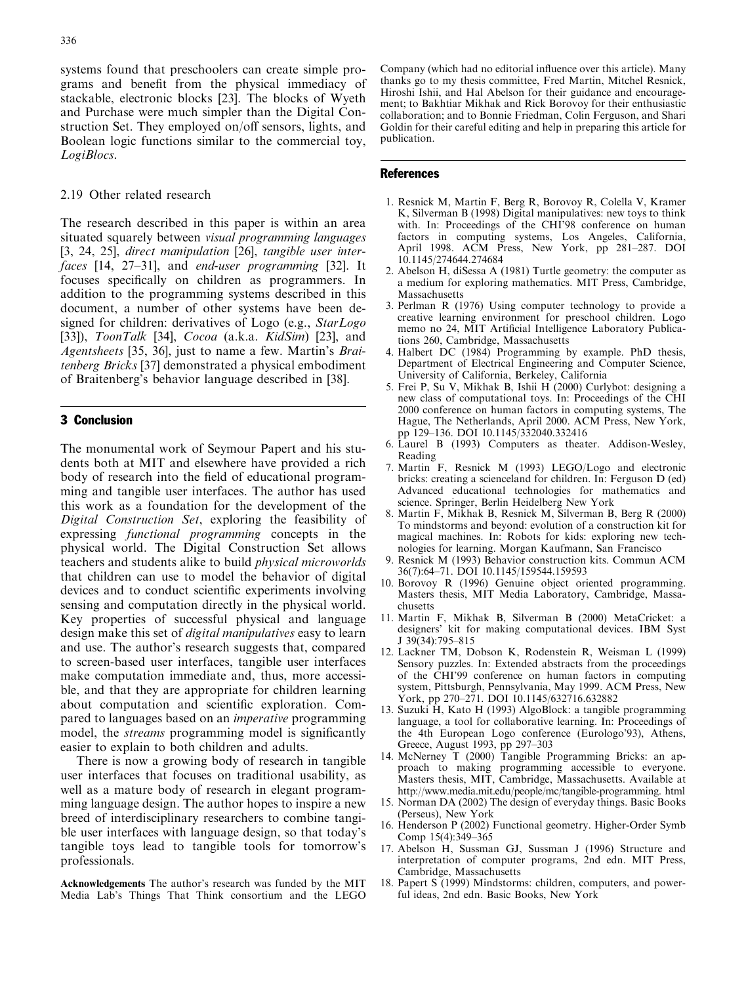systems found that preschoolers can create simple programs and benefit from the physical immediacy of stackable, electronic blocks [23]. The blocks of Wyeth and Purchase were much simpler than the Digital Construction Set. They employed on/off sensors, lights, and Boolean logic functions similar to the commercial toy, LogiBlocs.

#### 2.19 Other related research

The research described in this paper is within an area situated squarely between visual programming languages [3, 24, 25], direct manipulation [26], tangible user interfaces [14, 27–31], and end-user programming [32]. It focuses specifically on children as programmers. In addition to the programming systems described in this document, a number of other systems have been designed for children: derivatives of Logo (e.g., StarLogo [33]), *ToonTalk* [34], *Cocoa* (a.k.a. *KidSim*) [23], and Agentsheets [35, 36], just to name a few. Martin's Braitenberg Bricks [37] demonstrated a physical embodiment of Braitenberg's behavior language described in [38].

# 3 Conclusion

The monumental work of Seymour Papert and his students both at MIT and elsewhere have provided a rich body of research into the field of educational programming and tangible user interfaces. The author has used this work as a foundation for the development of the Digital Construction Set, exploring the feasibility of expressing functional programming concepts in the physical world. The Digital Construction Set allows teachers and students alike to build physical microworlds that children can use to model the behavior of digital devices and to conduct scientific experiments involving sensing and computation directly in the physical world. Key properties of successful physical and language design make this set of digital manipulatives easy to learn and use. The author's research suggests that, compared to screen-based user interfaces, tangible user interfaces make computation immediate and, thus, more accessible, and that they are appropriate for children learning about computation and scientific exploration. Compared to languages based on an imperative programming model, the streams programming model is significantly easier to explain to both children and adults.

There is now a growing body of research in tangible user interfaces that focuses on traditional usability, as well as a mature body of research in elegant programming language design. The author hopes to inspire a new breed of interdisciplinary researchers to combine tangible user interfaces with language design, so that today's tangible toys lead to tangible tools for tomorrow's professionals.

Acknowledgements The author's research was funded by the MIT Media Lab's Things That Think consortium and the LEGO

Company (which had no editorial influence over this article). Many thanks go to my thesis committee, Fred Martin, Mitchel Resnick, Hiroshi Ishii, and Hal Abelson for their guidance and encouragement; to Bakhtiar Mikhak and Rick Borovoy for their enthusiastic collaboration; and to Bonnie Friedman, Colin Ferguson, and Shari Goldin for their careful editing and help in preparing this article for publication.

#### References

- 1. Resnick M, Martin F, Berg R, Borovoy R, Colella V, Kramer K, Silverman B (1998) Digital manipulatives: new toys to think with. In: Proceedings of the CHI'98 conference on human factors in computing systems, Los Angeles, California, April 1998. ACM Press, New York, pp 281–287. DOI 10.1145/274644.274684
- 2. Abelson H, diSessa A (1981) Turtle geometry: the computer as a medium for exploring mathematics. MIT Press, Cambridge, Massachusetts
- 3. Perlman R (1976) Using computer technology to provide a creative learning environment for preschool children. Logo memo no 24, MIT Artificial Intelligence Laboratory Publications 260, Cambridge, Massachusetts
- 4. Halbert DC (1984) Programming by example. PhD thesis, Department of Electrical Engineering and Computer Science, University of California, Berkeley, California
- 5. Frei P, Su V, Mikhak B, Ishii H (2000) Curlybot: designing a new class of computational toys. In: Proceedings of the CHI 2000 conference on human factors in computing systems, The Hague, The Netherlands, April 2000. ACM Press, New York, pp 129–136. DOI 10.1145/332040.332416
- 6. Laurel B (1993) Computers as theater. Addison-Wesley, Reading
- 7. Martin F, Resnick M (1993) LEGO/Logo and electronic bricks: creating a scienceland for children. In: Ferguson D (ed) Advanced educational technologies for mathematics and science. Springer, Berlin Heidelberg New York
- 8. Martin F, Mikhak B, Resnick M, Silverman B, Berg R (2000) To mindstorms and beyond: evolution of a construction kit for magical machines. In: Robots for kids: exploring new technologies for learning. Morgan Kaufmann, San Francisco
- 9. Resnick M (1993) Behavior construction kits. Commun ACM 36(7):64–71. DOI 10.1145/159544.159593
- 10. Borovoy R (1996) Genuine object oriented programming. Masters thesis, MIT Media Laboratory, Cambridge, Massachusetts
- 11. Martin F, Mikhak B, Silverman B (2000) MetaCricket: a designers' kit for making computational devices. IBM Syst J 39(34):795–815
- 12. Lackner TM, Dobson K, Rodenstein R, Weisman L (1999) Sensory puzzles. In: Extended abstracts from the proceedings of the CHI'99 conference on human factors in computing system, Pittsburgh, Pennsylvania, May 1999. ACM Press, New York, pp 270–271. DOI 10.1145/632716.632882
- 13. Suzuki H, Kato H (1993) AlgoBlock: a tangible programming language, a tool for collaborative learning. In: Proceedings of the 4th European Logo conference (Eurologo'93), Athens, Greece, August 1993, pp 297–303
- 14. McNerney T (2000) Tangible Programming Bricks: an approach to making programming accessible to everyone. Masters thesis, MIT, Cambridge, Massachusetts. Available at http://www.media.mit.edu/people/mc/tangible-programming. html
- 15. Norman DA (2002) The design of everyday things. Basic Books (Perseus), New York
- 16. Henderson P (2002) Functional geometry. Higher-Order Symb Comp 15(4):349–365
- 17. Abelson H, Sussman GJ, Sussman J (1996) Structure and interpretation of computer programs, 2nd edn. MIT Press, Cambridge, Massachusetts
- 18. Papert S (1999) Mindstorms: children, computers, and powerful ideas, 2nd edn. Basic Books, New York